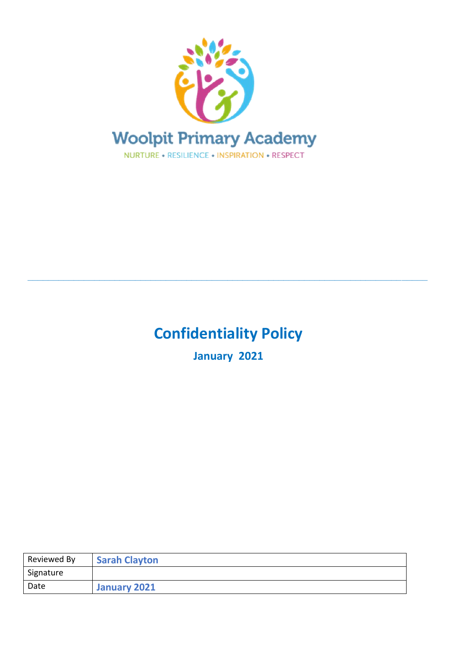

# **Confidentiality Policy**

**\_\_\_\_\_\_\_\_\_\_\_\_\_\_\_\_\_\_\_\_\_\_\_\_\_\_\_\_\_\_\_\_\_\_\_\_\_\_\_\_\_\_\_\_\_\_\_\_\_\_\_\_\_\_\_\_\_\_\_\_\_\_\_\_\_\_\_\_\_\_\_\_\_\_\_\_\_\_**

**January 2021**

| Reviewed By | <b>Sarah Clayton</b> |
|-------------|----------------------|
| Signature   |                      |
| Date        | January 2021         |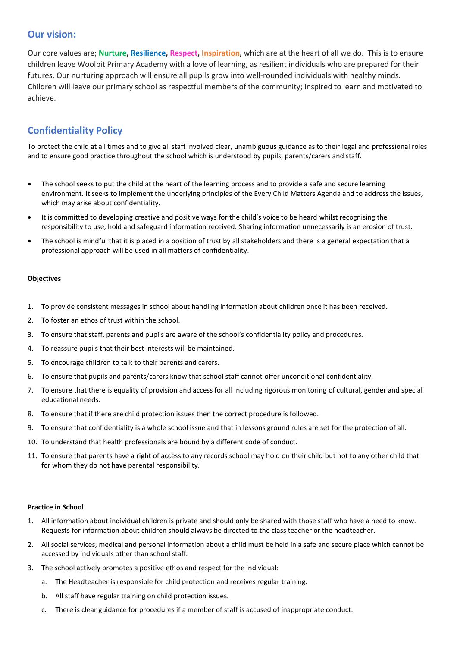### **Our vision:**

Our core values are; **Nurture, Resilience, Respect, Inspiration,** which are at the heart of all we do. This is to ensure children leave Woolpit Primary Academy with a love of learning, as resilient individuals who are prepared for their futures. Our nurturing approach will ensure all pupils grow into well-rounded individuals with healthy minds. Children will leave our primary school as respectful members of the community; inspired to learn and motivated to achieve.

## **Confidentiality Policy**

To protect the child at all times and to give all staff involved clear, unambiguous guidance as to their legal and professional roles and to ensure good practice throughout the school which is understood by pupils, parents/carers and staff.

- The school seeks to put the child at the heart of the learning process and to provide a safe and secure learning environment. It seeks to implement the underlying principles of the Every Child Matters Agenda and to address the issues, which may arise about confidentiality.
- It is committed to developing creative and positive ways for the child's voice to be heard whilst recognising the responsibility to use, hold and safeguard information received. Sharing information unnecessarily is an erosion of trust.
- The school is mindful that it is placed in a position of trust by all stakeholders and there is a general expectation that a professional approach will be used in all matters of confidentiality.

#### **Objectives**

- 1. To provide consistent messages in school about handling information about children once it has been received.
- 2. To foster an ethos of trust within the school.
- 3. To ensure that staff, parents and pupils are aware of the school's confidentiality policy and procedures.
- 4. To reassure pupils that their best interests will be maintained.
- 5. To encourage children to talk to their parents and carers.
- 6. To ensure that pupils and parents/carers know that school staff cannot offer unconditional confidentiality.
- 7. To ensure that there is equality of provision and access for all including rigorous monitoring of cultural, gender and special educational needs.
- 8. To ensure that if there are child protection issues then the correct procedure is followed.
- 9. To ensure that confidentiality is a whole school issue and that in lessons ground rules are set for the protection of all.
- 10. To understand that health professionals are bound by a different code of conduct.
- 11. To ensure that parents have a right of access to any records school may hold on their child but not to any other child that for whom they do not have parental responsibility.

#### **Practice in School**

- 1. All information about individual children is private and should only be shared with those staff who have a need to know. Requests for information about children should always be directed to the class teacher or the headteacher.
- 2. All social services, medical and personal information about a child must be held in a safe and secure place which cannot be accessed by individuals other than school staff.
- 3. The school actively promotes a positive ethos and respect for the individual:
	- a. The Headteacher is responsible for child protection and receives regular training.
	- b. All staff have regular training on child protection issues.
	- c. There is clear guidance for procedures if a member of staff is accused of inappropriate conduct.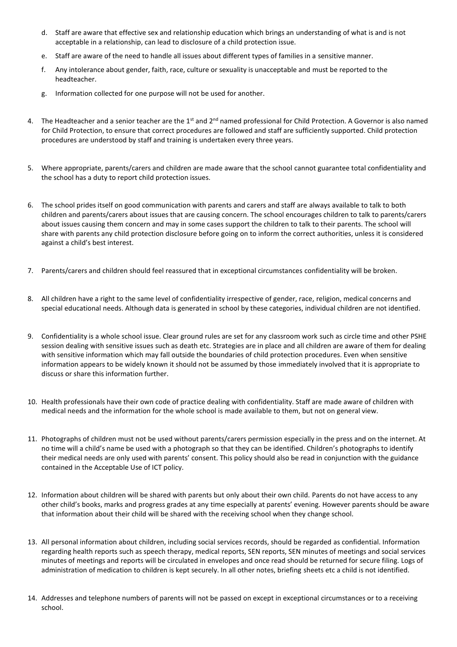- d. Staff are aware that effective sex and relationship education which brings an understanding of what is and is not acceptable in a relationship, can lead to disclosure of a child protection issue.
- e. Staff are aware of the need to handle all issues about different types of families in a sensitive manner.
- f. Any intolerance about gender, faith, race, culture or sexuality is unacceptable and must be reported to the headteacher.
- g. Information collected for one purpose will not be used for another.
- 4. The Headteacher and a senior teacher are the  $1^{st}$  and  $2^{nd}$  named professional for Child Protection. A Governor is also named for Child Protection, to ensure that correct procedures are followed and staff are sufficiently supported. Child protection procedures are understood by staff and training is undertaken every three years.
- 5. Where appropriate, parents/carers and children are made aware that the school cannot guarantee total confidentiality and the school has a duty to report child protection issues.
- 6. The school prides itself on good communication with parents and carers and staff are always available to talk to both children and parents/carers about issues that are causing concern. The school encourages children to talk to parents/carers about issues causing them concern and may in some cases support the children to talk to their parents. The school will share with parents any child protection disclosure before going on to inform the correct authorities, unless it is considered against a child's best interest.
- 7. Parents/carers and children should feel reassured that in exceptional circumstances confidentiality will be broken.
- 8. All children have a right to the same level of confidentiality irrespective of gender, race, religion, medical concerns and special educational needs. Although data is generated in school by these categories, individual children are not identified.
- 9. Confidentiality is a whole school issue. Clear ground rules are set for any classroom work such as circle time and other PSHE session dealing with sensitive issues such as death etc. Strategies are in place and all children are aware of them for dealing with sensitive information which may fall outside the boundaries of child protection procedures. Even when sensitive information appears to be widely known it should not be assumed by those immediately involved that it is appropriate to discuss or share this information further.
- 10. Health professionals have their own code of practice dealing with confidentiality. Staff are made aware of children with medical needs and the information for the whole school is made available to them, but not on general view.
- 11. Photographs of children must not be used without parents/carers permission especially in the press and on the internet. At no time will a child's name be used with a photograph so that they can be identified. Children's photographs to identify their medical needs are only used with parents' consent. This policy should also be read in conjunction with the guidance contained in the Acceptable Use of ICT policy.
- 12. Information about children will be shared with parents but only about their own child. Parents do not have access to any other child's books, marks and progress grades at any time especially at parents' evening. However parents should be aware that information about their child will be shared with the receiving school when they change school.
- 13. All personal information about children, including social services records, should be regarded as confidential. Information regarding health reports such as speech therapy, medical reports, SEN reports, SEN minutes of meetings and social services minutes of meetings and reports will be circulated in envelopes and once read should be returned for secure filing. Logs of administration of medication to children is kept securely. In all other notes, briefing sheets etc a child is not identified.
- 14. Addresses and telephone numbers of parents will not be passed on except in exceptional circumstances or to a receiving school.